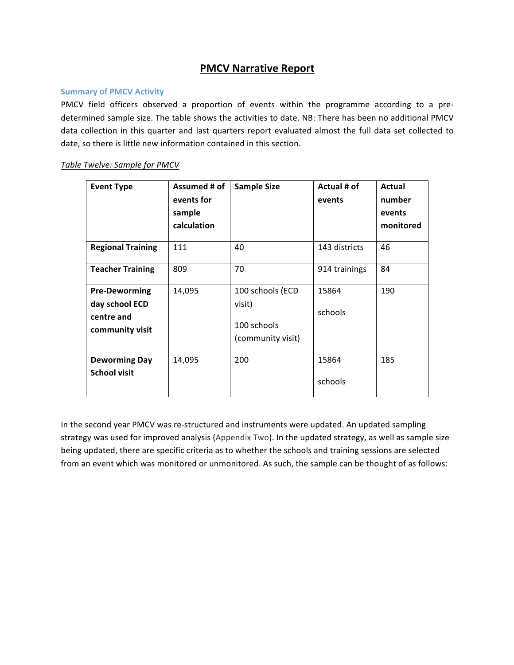# **PMCV Narrative Report**

### **Summary of PMCV Activity**

PMCV field officers observed a proportion of events within the programme according to a predetermined sample size. The table shows the activities to date. NB: There has been no additional PMCV data collection in this quarter and last quarters report evaluated almost the full data set collected to date, so there is little new information contained in this section.

### Table Twelve: Sample for PMCV

| <b>Event Type</b>                                                       | Assumed # of<br>events for<br>sample<br>calculation | <b>Sample Size</b>                                             | Actual # of<br>events | Actual<br>number<br>events<br>monitored |
|-------------------------------------------------------------------------|-----------------------------------------------------|----------------------------------------------------------------|-----------------------|-----------------------------------------|
| <b>Regional Training</b>                                                | 111                                                 | 40                                                             | 143 districts         | 46                                      |
| <b>Teacher Training</b>                                                 | 809                                                 | 70                                                             | 914 trainings         | 84                                      |
| <b>Pre-Deworming</b><br>day school ECD<br>centre and<br>community visit | 14,095                                              | 100 schools (ECD<br>visit)<br>100 schools<br>(community visit) | 15864<br>schools      | 190                                     |
| <b>Deworming Day</b><br><b>School visit</b>                             | 14,095                                              | 200                                                            | 15864<br>schools      | 185                                     |

In the second year PMCV was re-structured and instruments were updated. An updated sampling strategy was used for improved analysis (Appendix Two). In the updated strategy, as well as sample size being updated, there are specific criteria as to whether the schools and training sessions are selected from an event which was monitored or unmonitored. As such, the sample can be thought of as follows: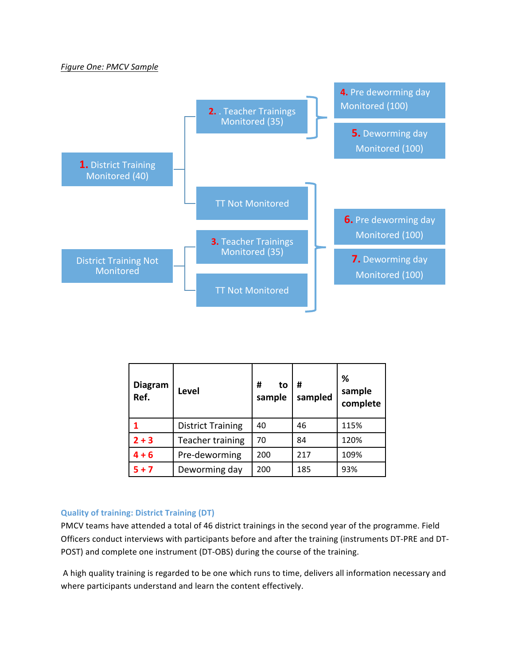### *Figure One: PMCV Sample*



| <b>Diagram</b><br>Ref. | Level                    | #<br>to<br>sample | #<br>sampled | ℅<br>sample<br>complete |
|------------------------|--------------------------|-------------------|--------------|-------------------------|
|                        | <b>District Training</b> | 40                | 46           | 115%                    |
| $2 + 3$                | Teacher training         | 70                | 84           | 120%                    |
| $4 + 6$                | Pre-deworming            | 200               | 217          | 109%                    |
| $5 + 7$                | Deworming day            | 200               | 185          | 93%                     |

### **Quality of training: District Training (DT)**

PMCV teams have attended a total of 46 district trainings in the second year of the programme. Field Officers conduct interviews with participants before and after the training (instruments DT-PRE and DT-POST) and complete one instrument (DT-OBS) during the course of the training.

A high quality training is regarded to be one which runs to time, delivers all information necessary and where participants understand and learn the content effectively.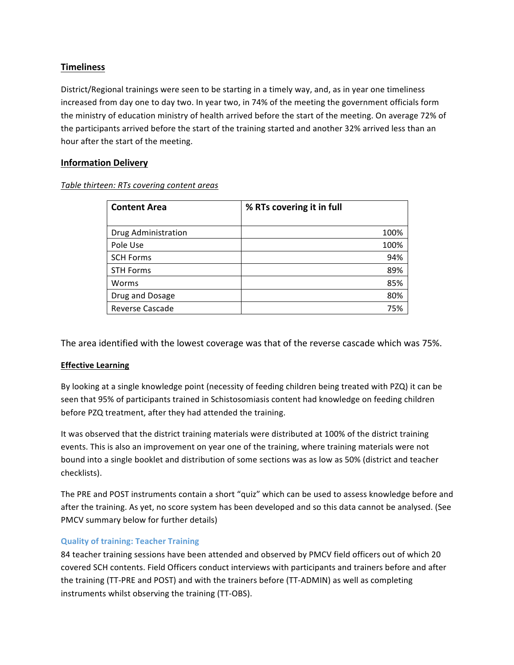## **Timeliness**

District/Regional trainings were seen to be starting in a timely way, and, as in year one timeliness increased from day one to day two. In year two, in 74% of the meeting the government officials form the ministry of education ministry of health arrived before the start of the meeting. On average 72% of the participants arrived before the start of the training started and another 32% arrived less than an hour after the start of the meeting.

## **Information Delivery**

### *Table thirteen: RTs covering content areas*

| <b>Content Area</b> | % RTs covering it in full |
|---------------------|---------------------------|
| Drug Administration | 100%                      |
| Pole Use            | 100%                      |
| <b>SCH Forms</b>    | 94%                       |
| <b>STH Forms</b>    | 89%                       |
| Worms               | 85%                       |
| Drug and Dosage     | 80%                       |
| Reverse Cascade     | 75%                       |

The area identified with the lowest coverage was that of the reverse cascade which was 75%.

### **Effective Learning**

By looking at a single knowledge point (necessity of feeding children being treated with PZQ) it can be seen that 95% of participants trained in Schistosomiasis content had knowledge on feeding children before PZQ treatment, after they had attended the training.

It was observed that the district training materials were distributed at 100% of the district training events. This is also an improvement on year one of the training, where training materials were not bound into a single booklet and distribution of some sections was as low as 50% (district and teacher checklists).

The PRE and POST instruments contain a short "quiz" which can be used to assess knowledge before and after the training. As yet, no score system has been developed and so this data cannot be analysed. (See PMCV summary below for further details)

### **Quality of training: Teacher Training**

84 teacher training sessions have been attended and observed by PMCV field officers out of which 20 covered SCH contents. Field Officers conduct interviews with participants and trainers before and after the training (TT-PRE and POST) and with the trainers before (TT-ADMIN) as well as completing instruments whilst observing the training (TT-OBS).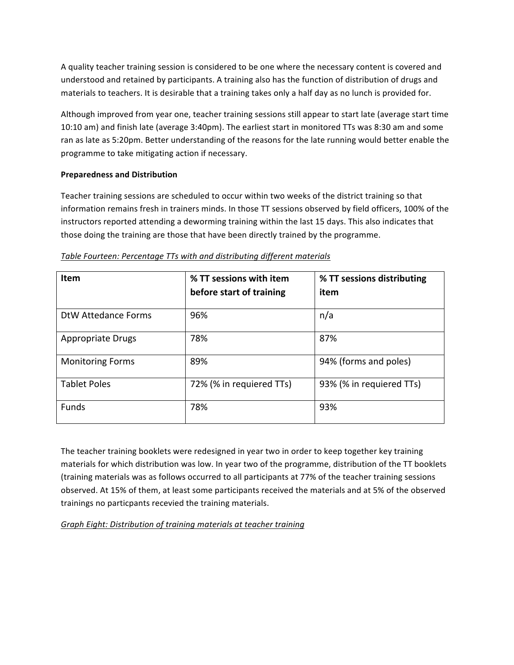A quality teacher training session is considered to be one where the necessary content is covered and understood and retained by participants. A training also has the function of distribution of drugs and materials to teachers. It is desirable that a training takes only a half day as no lunch is provided for.

Although improved from year one, teacher training sessions still appear to start late (average start time 10:10 am) and finish late (average 3:40pm). The earliest start in monitored TTs was 8:30 am and some ran as late as 5:20pm. Better understanding of the reasons for the late running would better enable the programme to take mitigating action if necessary.

### **Preparedness and Distribution**

Teacher training sessions are scheduled to occur within two weeks of the district training so that information remains fresh in trainers minds. In those TT sessions observed by field officers, 100% of the instructors reported attending a deworming training within the last 15 days. This also indicates that those doing the training are those that have been directly trained by the programme.

| <b>Item</b>              | % TT sessions with item  | % TT sessions distributing |
|--------------------------|--------------------------|----------------------------|
|                          | before start of training | item                       |
| DtW Attedance Forms      | 96%                      | n/a                        |
| <b>Appropriate Drugs</b> | 78%                      | 87%                        |
| <b>Monitoring Forms</b>  | 89%                      | 94% (forms and poles)      |
| <b>Tablet Poles</b>      | 72% (% in requiered TTs) | 93% (% in requiered TTs)   |
| <b>Funds</b>             | 78%                      | 93%                        |

### Table Fourteen: Percentage TTs with and distributing different materials

The teacher training booklets were redesigned in year two in order to keep together key training materials for which distribution was low. In year two of the programme, distribution of the TT booklets (training materials was as follows occurred to all participants at 77% of the teacher training sessions observed. At 15% of them, at least some participants received the materials and at 5% of the observed trainings no particpants recevied the training materials.

*Graph Eight: Distribution of training materials at teacher training*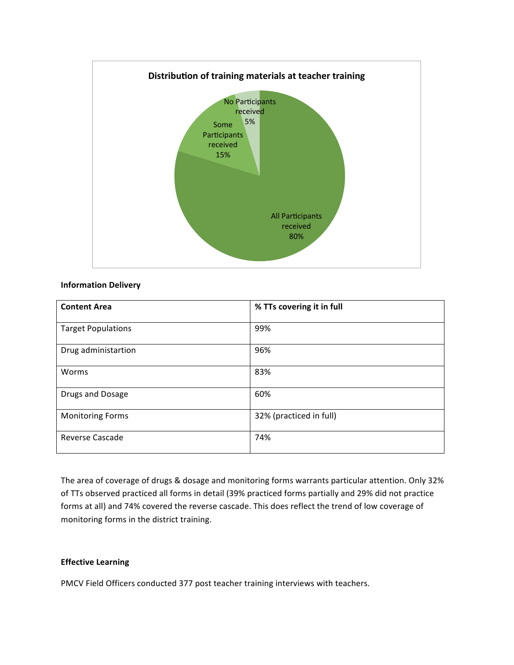

#### **Information Delivery**

| <b>Content Area</b>       | % TTs covering it in full |
|---------------------------|---------------------------|
| <b>Target Populations</b> | 99%                       |
| Drug administartion       | 96%                       |
| Worms                     | 83%                       |
| Drugs and Dosage          | 60%                       |
| <b>Monitoring Forms</b>   | 32% (practiced in full)   |
| <b>Reverse Cascade</b>    | 74%                       |

The area of coverage of drugs & dosage and monitoring forms warrants particular attention. Only 32% of TTs observed practiced all forms in detail (39% practiced forms partially and 29% did not practice forms at all) and 74% covered the reverse cascade. This does reflect the trend of low coverage of monitoring forms in the district training.

### **Effective Learning**

PMCV Field Officers conducted 377 post teacher training interviews with teachers.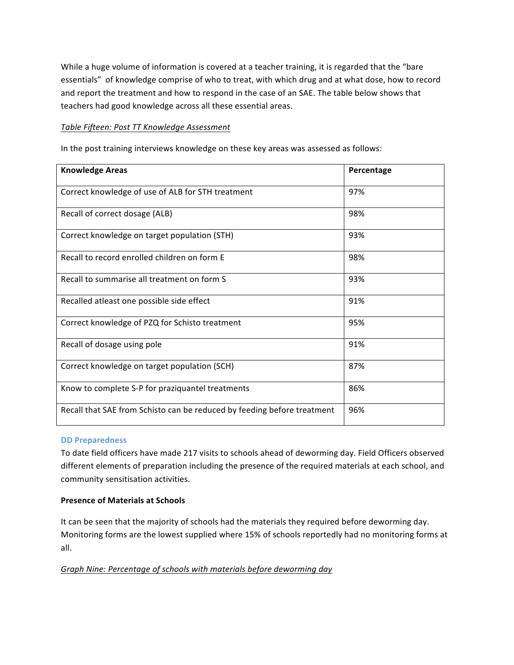While a huge volume of information is covered at a teacher training, it is regarded that the "bare essentials" of knowledge comprise of who to treat, with which drug and at what dose, how to record and report the treatment and how to respond in the case of an SAE. The table below shows that teachers had good knowledge across all these essential areas.

### **Table Fifteen: Post TT Knowledge Assessment**

In the post training interviews knowledge on these key areas was assessed as follows:

| <b>Knowledge Areas</b>                                                  | Percentage |
|-------------------------------------------------------------------------|------------|
| Correct knowledge of use of ALB for STH treatment                       | 97%        |
| Recall of correct dosage (ALB)                                          | 98%        |
| Correct knowledge on target population (STH)                            | 93%        |
| Recall to record enrolled children on form E                            | 98%        |
| Recall to summarise all treatment on form S                             | 93%        |
| Recalled atleast one possible side effect                               | 91%        |
| Correct knowledge of PZQ for Schisto treatment                          | 95%        |
| Recall of dosage using pole                                             | 91%        |
| Correct knowledge on target population (SCH)                            | 87%        |
| Know to complete S-P for praziquantel treatments                        | 86%        |
| Recall that SAE from Schisto can be reduced by feeding before treatment | 96%        |

#### **DD** Preparedness

To date field officers have made 217 visits to schools ahead of deworming day. Field Officers observed different elements of preparation including the presence of the required materials at each school, and community sensitisation activities.

### **Presence of Materials at Schools**

It can be seen that the majority of schools had the materials they required before deworming day. Monitoring forms are the lowest supplied where 15% of schools reportedly had no monitoring forms at all. 

### *Graph Nine: Percentage of schools with materials before deworming day*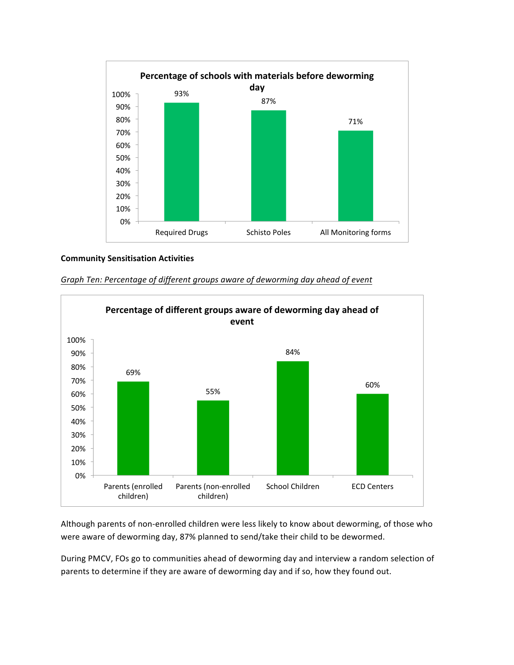

### **Community Sensitisation Activities**



Graph Ten: Percentage of different groups aware of deworming day ahead of event

Although parents of non-enrolled children were less likely to know about deworming, of those who were aware of deworming day, 87% planned to send/take their child to be dewormed.

During PMCV, FOs go to communities ahead of deworming day and interview a random selection of parents to determine if they are aware of deworming day and if so, how they found out.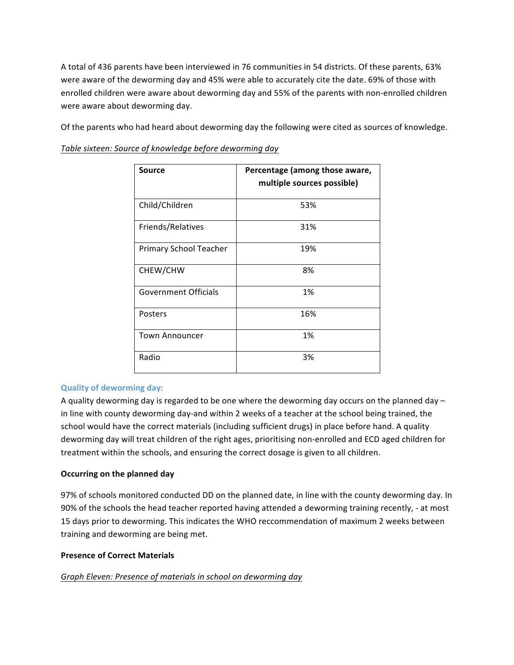A total of 436 parents have been interviewed in 76 communities in 54 districts. Of these parents, 63% were aware of the deworming day and 45% were able to accurately cite the date. 69% of those with enrolled children were aware about deworming day and 55% of the parents with non-enrolled children were aware about deworming day.

Of the parents who had heard about deworming day the following were cited as sources of knowledge.

Table sixteen: Source of knowledge before deworming day

| Source                      | Percentage (among those aware,<br>multiple sources possible) |
|-----------------------------|--------------------------------------------------------------|
| Child/Children              | 53%                                                          |
| Friends/Relatives           | 31%                                                          |
| Primary School Teacher      | 19%                                                          |
| CHEW/CHW                    | 8%                                                           |
| <b>Government Officials</b> | 1%                                                           |
| Posters                     | 16%                                                          |
| <b>Town Announcer</b>       | 1%                                                           |
| Radio                       | 3%                                                           |

## **Quality of deworming day:**

A quality deworming day is regarded to be one where the deworming day occurs on the planned day  $$ in line with county deworming day-and within 2 weeks of a teacher at the school being trained, the school would have the correct materials (including sufficient drugs) in place before hand. A quality deworming day will treat children of the right ages, prioritising non-enrolled and ECD aged children for treatment within the schools, and ensuring the correct dosage is given to all children.

### **Occurring on the planned day**

97% of schools monitored conducted DD on the planned date, in line with the county deworming day. In 90% of the schools the head teacher reported having attended a deworming training recently, - at most 15 days prior to deworming. This indicates the WHO reccommendation of maximum 2 weeks between training and deworming are being met.

### **Presence of Correct Materials**

### Graph Eleven: Presence of materials in school on deworming day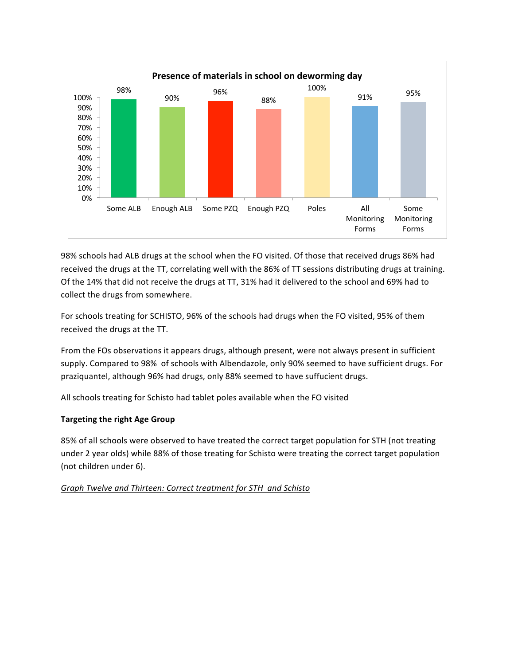

98% schools had ALB drugs at the school when the FO visited. Of those that received drugs 86% had received the drugs at the TT, correlating well with the 86% of TT sessions distributing drugs at training. Of the 14% that did not receive the drugs at TT, 31% had it delivered to the school and 69% had to collect the drugs from somewhere.

For schools treating for SCHISTO, 96% of the schools had drugs when the FO visited, 95% of them received the drugs at the TT.

From the FOs observations it appears drugs, although present, were not always present in sufficient supply. Compared to 98% of schools with Albendazole, only 90% seemed to have sufficient drugs. For praziquantel, although 96% had drugs, only 88% seemed to have suffucient drugs.

All schools treating for Schisto had tablet poles available when the FO visited

## **Targeting the right Age Group**

85% of all schools were observed to have treated the correct target population for STH (not treating under 2 year olds) while 88% of those treating for Schisto were treating the correct target population (not children under 6).

## Graph Twelve and Thirteen: Correct treatment for STH and Schisto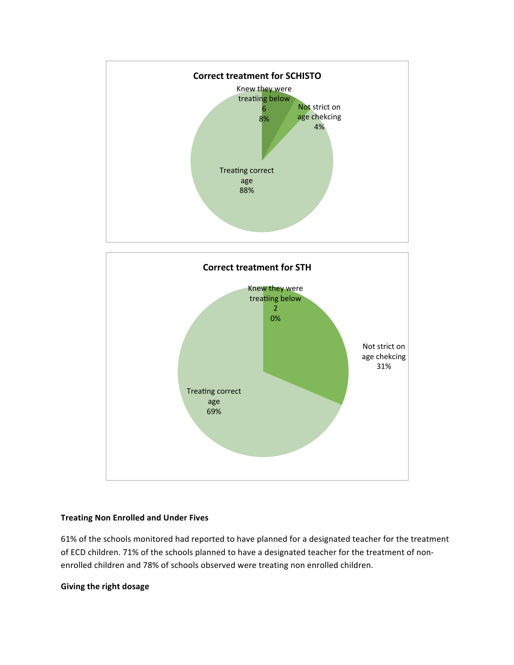



### **Treating Non Enrolled and Under Fives**

61% of the schools monitored had reported to have planned for a designated teacher for the treatment of ECD children. 71% of the schools planned to have a designated teacher for the treatment of nonenrolled children and 78% of schools observed were treating non enrolled children.

### **Giving the right dosage**